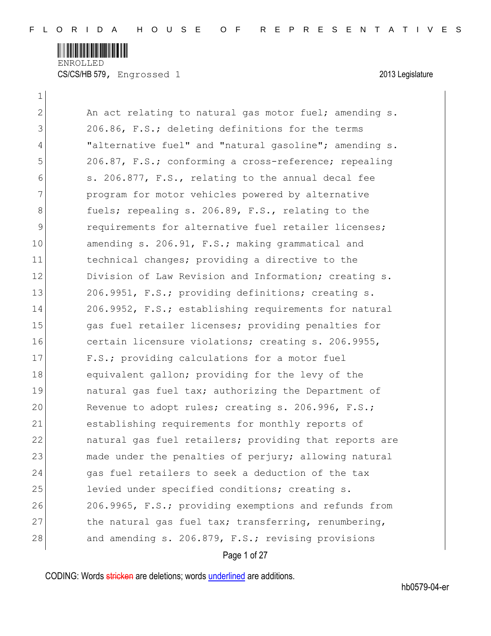

CS/CS/HB 579, Engrossed 1 2013 Legislature

 $\mathbf{1}$ 

| $\overline{2}$ | An act relating to natural gas motor fuel; amending s. |
|----------------|--------------------------------------------------------|
| 3              | 206.86, F.S.; deleting definitions for the terms       |
| 4              | "alternative fuel" and "natural gasoline"; amending s. |
| 5              | 206.87, F.S.; conforming a cross-reference; repealing  |
| 6              | s. 206.877, F.S., relating to the annual decal fee     |
| 7              | program for motor vehicles powered by alternative      |
| 8              | fuels; repealing s. 206.89, F.S., relating to the      |
| 9              | requirements for alternative fuel retailer licenses;   |
| 10             | amending s. 206.91, F.S.; making grammatical and       |
| 11             | technical changes; providing a directive to the        |
| 12             | Division of Law Revision and Information; creating s.  |
| 13             | 206.9951, F.S.; providing definitions; creating s.     |
| 14             | 206.9952, F.S.; establishing requirements for natural  |
| 15             | gas fuel retailer licenses; providing penalties for    |
| 16             | certain licensure violations; creating s. 206.9955,    |
| 17             | F.S.; providing calculations for a motor fuel          |
| 18             | equivalent gallon; providing for the levy of the       |
| 19             | natural gas fuel tax; authorizing the Department of    |
| 20             | Revenue to adopt rules; creating s. 206.996, F.S.;     |
| 21             | establishing requirements for monthly reports of       |
| 22             | natural gas fuel retailers; providing that reports are |
| 23             | made under the penalties of perjury; allowing natural  |
| 24             | gas fuel retailers to seek a deduction of the tax      |
| 25             | levied under specified conditions; creating s.         |
| 26             | 206.9965, F.S.; providing exemptions and refunds from  |
| 27             | the natural gas fuel tax; transferring, renumbering,   |
| 28             | and amending s. 206.879, F.S.; revising provisions     |
|                |                                                        |

# Page 1 of 27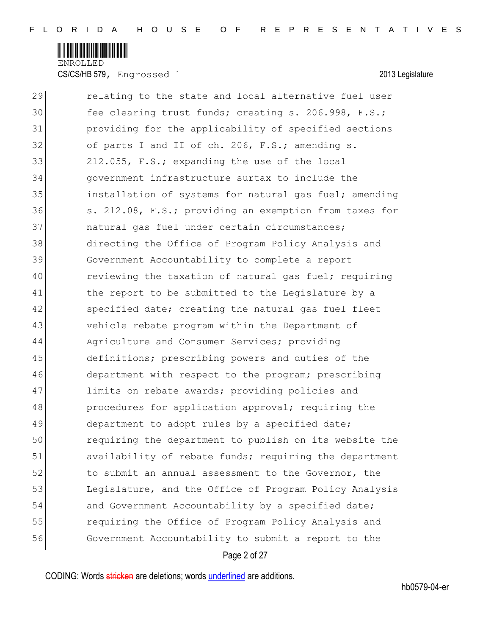

CS/CS/HB 579, Engrossed 1 2013 Legislature

| 29 | relating to the state and local alternative fuel user  |
|----|--------------------------------------------------------|
| 30 | fee clearing trust funds; creating s. 206.998, F.S.;   |
| 31 | providing for the applicability of specified sections  |
| 32 | of parts I and II of ch. 206, F.S.; amending s.        |
| 33 | 212.055, F.S.; expanding the use of the local          |
| 34 | government infrastructure surtax to include the        |
| 35 | installation of systems for natural gas fuel; amending |
| 36 | s. 212.08, F.S.; providing an exemption from taxes for |
| 37 | natural gas fuel under certain circumstances;          |
| 38 | directing the Office of Program Policy Analysis and    |
| 39 | Government Accountability to complete a report         |
| 40 | reviewing the taxation of natural gas fuel; requiring  |
| 41 | the report to be submitted to the Legislature by a     |
| 42 | specified date; creating the natural gas fuel fleet    |
| 43 | vehicle rebate program within the Department of        |
| 44 | Agriculture and Consumer Services; providing           |
| 45 | definitions; prescribing powers and duties of the      |
| 46 | department with respect to the program; prescribing    |
| 47 | limits on rebate awards; providing policies and        |
| 48 | procedures for application approval; requiring the     |
| 49 | department to adopt rules by a specified date;         |
| 50 | requiring the department to publish on its website the |
| 51 | availability of rebate funds; requiring the department |
| 52 | to submit an annual assessment to the Governor, the    |
| 53 | Legislature, and the Office of Program Policy Analysis |
| 54 | and Government Accountability by a specified date;     |
| 55 | requiring the Office of Program Policy Analysis and    |
| 56 | Government Accountability to submit a report to the    |
|    |                                                        |

## Page 2 of 27

CODING: Words stricken are deletions; words underlined are additions.

hb0579-04-er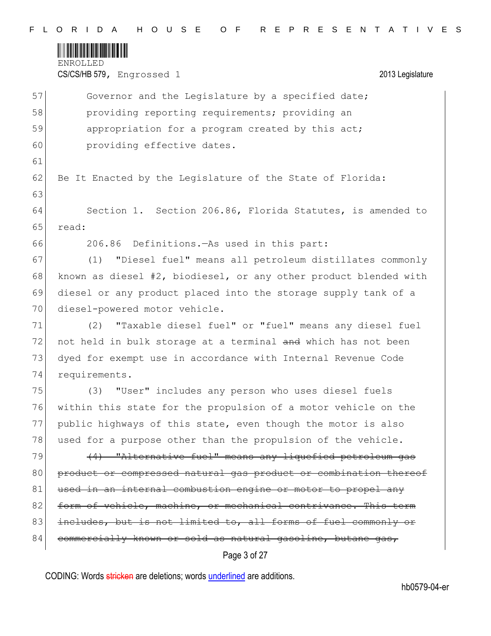

CS/CS/HB 579, Engrossed 1 2013 Legislature

|                 | Page 3 of 27                                                     |
|-----------------|------------------------------------------------------------------|
| 84              | commercially known or sold as natural gasoline, butane gas,      |
| 83              | includes, but is not limited to, all forms of fuel commonly or   |
| 82              | form of vehicle, machine, or mechanical contrivance. This term   |
| 81              | used in an internal combustion engine or motor to propel any     |
| 80              | product or compressed natural gas product or combination thereof |
| 79              | (4) "Alternative fuel" means any liquefied petroleum gas         |
| 78              | used for a purpose other than the propulsion of the vehicle.     |
| 77              | public highways of this state, even though the motor is also     |
| 76              | within this state for the propulsion of a motor vehicle on the   |
| 75              | "User" includes any person who uses diesel fuels<br>(3)          |
| 74              | requirements.                                                    |
| 73              | dyed for exempt use in accordance with Internal Revenue Code     |
| 72              | not held in bulk storage at a terminal and which has not been    |
| 71              | "Taxable diesel fuel" or "fuel" means any diesel fuel<br>(2)     |
| 70 <sub>l</sub> | diesel-powered motor vehicle.                                    |
| 69              | diesel or any product placed into the storage supply tank of a   |
| 68              | known as diesel #2, biodiesel, or any other product blended with |
| 67              | "Diesel fuel" means all petroleum distillates commonly<br>(1)    |
| 66              | 206.86 Definitions. As used in this part:                        |
| 65              | read:                                                            |
| 64              | Section 1. Section 206.86, Florida Statutes, is amended to       |
| 63              |                                                                  |
| 62              | Be It Enacted by the Legislature of the State of Florida:        |
| 61              |                                                                  |
| 60              | providing effective dates.                                       |
| 59              | appropriation for a program created by this act;                 |
| 58              | providing reporting requirements; providing an                   |
| 57              | Governor and the Legislature by a specified date;                |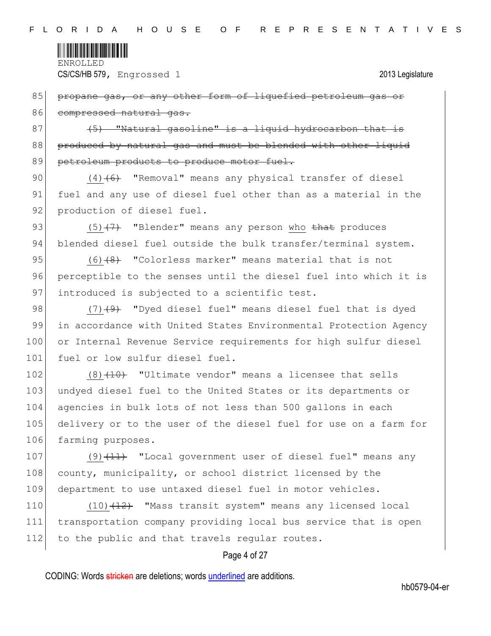

85 propane gas, or any other form of liquefied petroleum gas or 86 compressed natural gas.

 $87$  (5) "Natural gasoline" is a liquid hydrocarbon that is 88 produced by natural gas and must be blended with other liquid 89 petroleum products to produce motor fuel.

90  $(4)$   $(6)$  "Removal" means any physical transfer of diesel 91 fuel and any use of diesel fuel other than as a material in the 92 production of diesel fuel.

93  $(5)$   $(7)$  "Blender" means any person who that produces 94 blended diesel fuel outside the bulk transfer/terminal system.

95  $(6)$   $(8)$  "Colorless marker" means material that is not 96 perceptible to the senses until the diesel fuel into which it is 97 introduced is subjected to a scientific test.

98  $(7)$   $(9)$  "Dyed diesel fuel" means diesel fuel that is dyed 99 in accordance with United States Environmental Protection Agency 100 or Internal Revenue Service requirements for high sulfur diesel 101 fuel or low sulfur diesel fuel.

102  $(8)$   $(10)$  "Ultimate vendor" means a licensee that sells 103 undyed diesel fuel to the United States or its departments or 104 agencies in bulk lots of not less than 500 gallons in each 105 delivery or to the user of the diesel fuel for use on a farm for 106 farming purposes.

107  $(9)$   $(11)$  "Local government user of diesel fuel" means any 108 county, municipality, or school district licensed by the 109 department to use untaxed diesel fuel in motor vehicles.

110  $(10)$   $(12)$  "Mass transit system" means any licensed local 111 transportation company providing local bus service that is open 112 to the public and that travels regular routes.

### Page 4 of 27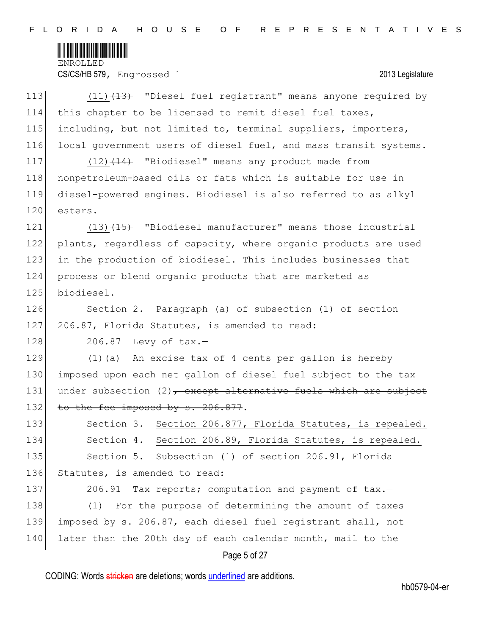

CS/CS/HB 579, Engrossed 1 2013 Legislature

| 113 | $(11)$ $(13)$ "Diesel fuel registrant" means anyone required by     |
|-----|---------------------------------------------------------------------|
| 114 | this chapter to be licensed to remit diesel fuel taxes,             |
| 115 | including, but not limited to, terminal suppliers, importers,       |
| 116 | local government users of diesel fuel, and mass transit systems.    |
| 117 | $(12)$ $(14)$ "Biodiesel" means any product made from               |
| 118 | nonpetroleum-based oils or fats which is suitable for use in        |
| 119 | diesel-powered engines. Biodiesel is also referred to as alkyl      |
| 120 | esters.                                                             |
| 121 | $(13)$ $(15)$ "Biodiesel manufacturer" means those industrial       |
| 122 | plants, regardless of capacity, where organic products are used     |
| 123 | in the production of biodiesel. This includes businesses that       |
| 124 | process or blend organic products that are marketed as              |
| 125 | biodiesel.                                                          |
| 126 | Section 2. Paragraph (a) of subsection (1) of section               |
| 127 | 206.87, Florida Statutes, is amended to read:                       |
| 128 | 206.87 Levy of tax.-                                                |
| 129 | $(1)$ (a) An excise tax of 4 cents per gallon is hereby             |
| 130 | imposed upon each net gallon of diesel fuel subject to the tax      |
| 131 | under subsection $(2)$ , except alternative fuels which are subject |
| 132 | to the fee imposed by s. 206.877.                                   |
| 133 | Section 3. Section 206.877, Florida Statutes, is repealed.          |
| 134 | Section 4. Section 206.89, Florida Statutes, is repealed.           |
| 135 | Section 5. Subsection (1) of section 206.91, Florida                |
| 136 | Statutes, is amended to read:                                       |
| 137 | Tax reports; computation and payment of tax.-<br>206.91             |
| 138 | For the purpose of determining the amount of taxes<br>(1)           |
| 139 | imposed by s. 206.87, each diesel fuel registrant shall, not        |
| 140 | later than the 20th day of each calendar month, mail to the         |
|     | Page 5 of 27                                                        |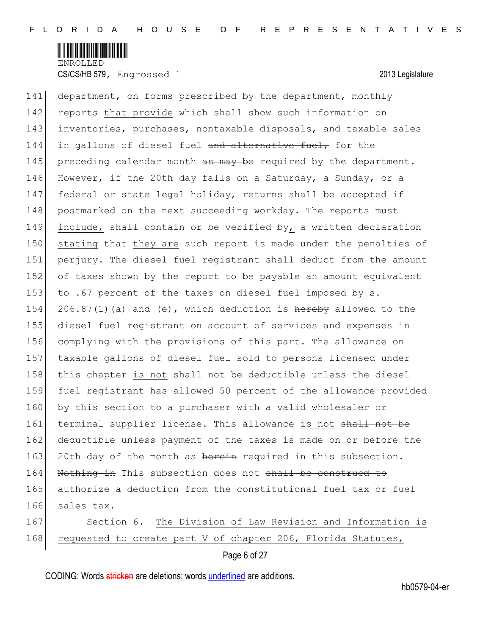

141 department, on forms prescribed by the department, monthly 142 reports that provide which shall show such information on 143 inventories, purchases, nontaxable disposals, and taxable sales 144 in gallons of diesel fuel and alternative fuel, for the 145 | preceding calendar month as may be required by the department. 146 However, if the 20th day falls on a Saturday, a Sunday, or a 147 federal or state legal holiday, returns shall be accepted if 148 postmarked on the next succeeding workday. The reports must 149 include, shall contain or be verified by, a written declaration 150 stating that they are such report is made under the penalties of 151 perjury. The diesel fuel registrant shall deduct from the amount 152 of taxes shown by the report to be payable an amount equivalent 153 to .67 percent of the taxes on diesel fuel imposed by s. 154 206.87(1)(a) and (e), which deduction is  $h$ ereby allowed to the 155 diesel fuel registrant on account of services and expenses in 156 complying with the provisions of this part. The allowance on 157 taxable gallons of diesel fuel sold to persons licensed under 158 | this chapter is not shall not be deductible unless the diesel 159 fuel registrant has allowed 50 percent of the allowance provided 160 by this section to a purchaser with a valid wholesaler or 161 terminal supplier license. This allowance is not shall not be 162 deductible unless payment of the taxes is made on or before the 163 20th day of the month as herein required in this subsection. 164 Nothing in This subsection does not shall be construed to 165 authorize a deduction from the constitutional fuel tax or fuel 166 sales tax. 167 Section 6. The Division of Law Revision and Information is

168 requested to create part V of chapter 206, Florida Statutes,

Page 6 of 27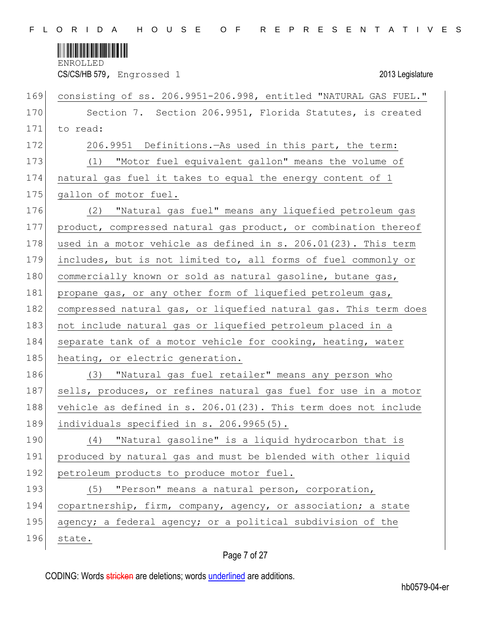

CS/CS/HB 579, Engrossed 1 2013 Legislature

| 169 | consisting of ss. 206.9951-206.998, entitled "NATURAL GAS FUEL." |
|-----|------------------------------------------------------------------|
| 170 | Section 7. Section 206.9951, Florida Statutes, is created        |
| 171 | to read:                                                         |
| 172 | 206.9951 Definitions. - As used in this part, the term:          |
| 173 | "Motor fuel equivalent gallon" means the volume of<br>(1)        |
| 174 | natural gas fuel it takes to equal the energy content of 1       |
| 175 | gallon of motor fuel.                                            |
| 176 | "Natural gas fuel" means any liquefied petroleum gas<br>(2)      |
| 177 | product, compressed natural gas product, or combination thereof  |
| 178 | used in a motor vehicle as defined in s. 206.01(23). This term   |
| 179 | includes, but is not limited to, all forms of fuel commonly or   |
| 180 | commercially known or sold as natural gasoline, butane gas,      |
| 181 | propane gas, or any other form of liquefied petroleum gas,       |
| 182 | compressed natural gas, or liquefied natural gas. This term does |
| 183 | not include natural gas or liquefied petroleum placed in a       |
| 184 | separate tank of a motor vehicle for cooking, heating, water     |
| 185 | heating, or electric generation.                                 |
| 186 | "Natural gas fuel retailer" means any person who<br>(3)          |
| 187 | sells, produces, or refines natural gas fuel for use in a motor  |
| 188 | vehicle as defined in s. 206.01(23). This term does not include  |
| 189 | individuals specified in s. 206.9965(5).                         |
| 190 | "Natural gasoline" is a liquid hydrocarbon that is<br>(4)        |
| 191 | produced by natural gas and must be blended with other liquid    |
| 192 | petroleum products to produce motor fuel.                        |
| 193 | "Person" means a natural person, corporation,<br>(5)             |
| 194 | copartnership, firm, company, agency, or association; a state    |
| 195 | agency; a federal agency; or a political subdivision of the      |
| 196 | state.                                                           |

# Page 7 of 27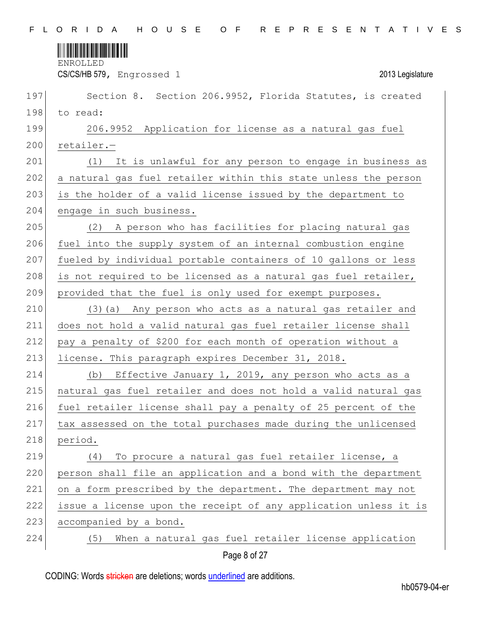

CS/CS/HB 579, Engrossed 1 2013 Legislature

| 197 | Section 8. Section 206.9952, Florida Statutes, is created        |
|-----|------------------------------------------------------------------|
| 198 | to read:                                                         |
| 199 | 206.9952 Application for license as a natural gas fuel           |
| 200 | retailer.-                                                       |
| 201 | (1) It is unlawful for any person to engage in business as       |
| 202 | a natural gas fuel retailer within this state unless the person  |
| 203 | is the holder of a valid license issued by the department to     |
| 204 | engage in such business.                                         |
| 205 | (2) A person who has facilities for placing natural gas          |
| 206 | fuel into the supply system of an internal combustion engine     |
| 207 | fueled by individual portable containers of 10 gallons or less   |
| 208 | is not required to be licensed as a natural gas fuel retailer,   |
| 209 | provided that the fuel is only used for exempt purposes.         |
| 210 | (3) (a) Any person who acts as a natural gas retailer and        |
| 211 | does not hold a valid natural gas fuel retailer license shall    |
| 212 | pay a penalty of \$200 for each month of operation without a     |
| 213 | license. This paragraph expires December 31, 2018.               |
| 214 | (b) Effective January 1, 2019, any person who acts as a          |
| 215 | natural gas fuel retailer and does not hold a valid natural gas  |
| 216 | fuel retailer license shall pay a penalty of 25 percent of the   |
| 217 | tax assessed on the total purchases made during the unlicensed   |
| 218 | period.                                                          |
| 219 | To procure a natural gas fuel retailer license, a<br>(4)         |
| 220 | person shall file an application and a bond with the department  |
| 221 | on a form prescribed by the department. The department may not   |
| 222 | issue a license upon the receipt of any application unless it is |
| 223 | accompanied by a bond.                                           |
| 224 | When a natural gas fuel retailer license application<br>(5)      |
|     |                                                                  |

Page 8 of 27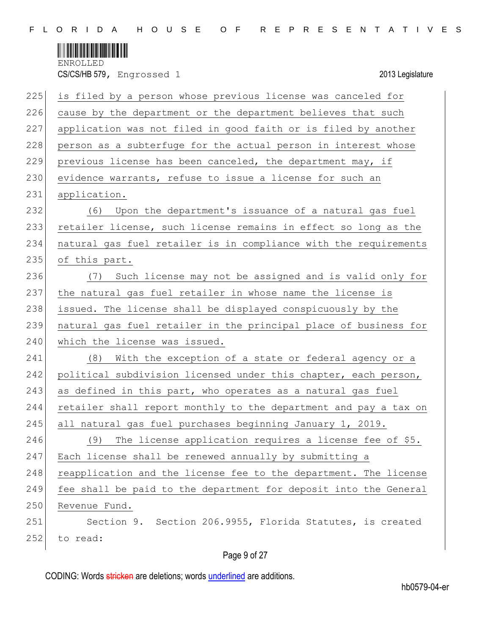

| 225 | is filed by a person whose previous license was canceled for     |
|-----|------------------------------------------------------------------|
| 226 | cause by the department or the department believes that such     |
| 227 | application was not filed in good faith or is filed by another   |
| 228 | person as a subterfuge for the actual person in interest whose   |
| 229 | previous license has been canceled, the department may, if       |
| 230 | evidence warrants, refuse to issue a license for such an         |
| 231 | application.                                                     |
| 232 | (6) Upon the department's issuance of a natural gas fuel         |
| 233 | retailer license, such license remains in effect so long as the  |
| 234 | natural gas fuel retailer is in compliance with the requirements |
| 235 | of this part.                                                    |
| 236 | (7) Such license may not be assigned and is valid only for       |
| 237 | the natural gas fuel retailer in whose name the license is       |
| 238 | issued. The license shall be displayed conspicuously by the      |
| 239 | natural gas fuel retailer in the principal place of business for |
| 240 | which the license was issued.                                    |
| 241 | (8)<br>With the exception of a state or federal agency or a      |
| 242 | political subdivision licensed under this chapter, each person,  |
| 243 | as defined in this part, who operates as a natural gas fuel      |
| 244 |                                                                  |
|     | retailer shall report monthly to the department and pay a tax on |
| 245 | all natural gas fuel purchases beginning January 1, 2019.        |
| 246 | (9)<br>The license application requires a license fee of \$5.    |
| 247 | Each license shall be renewed annually by submitting a           |
| 248 | reapplication and the license fee to the department. The license |
| 249 | fee shall be paid to the department for deposit into the General |
| 250 | Revenue Fund.                                                    |
| 251 | Section 9. Section 206.9955, Florida Statutes, is created        |

# Page 9 of 27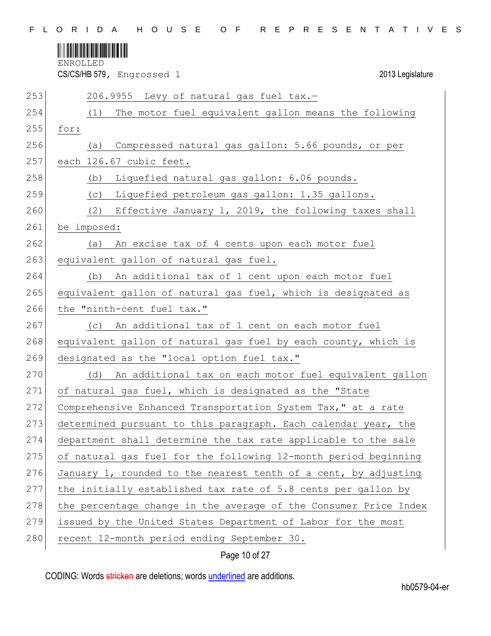

CS/CS/HB 579, Engrossed 1 2013 Legislature

| 253 | 206.9955 Levy of natural gas fuel tax.-                          |
|-----|------------------------------------------------------------------|
| 254 | The motor fuel equivalent gallon means the following<br>(1)      |
| 255 | for:                                                             |
| 256 | Compressed natural gas gallon: 5.66 pounds, or per<br>(a)        |
| 257 | each 126.67 cubic feet.                                          |
| 258 | Liquefied natural gas gallon: 6.06 pounds.<br>(b)                |
| 259 | Liquefied petroleum gas gallon: 1.35 gallons.<br>(C)             |
| 260 | (2) Effective January 1, 2019, the following taxes shall         |
| 261 | be imposed:                                                      |
| 262 | An excise tax of 4 cents upon each motor fuel<br>(a)             |
| 263 | equivalent gallon of natural gas fuel.                           |
| 264 | An additional tax of 1 cent upon each motor fuel<br>(b)          |
| 265 | equivalent gallon of natural gas fuel, which is designated as    |
| 266 | the "ninth-cent fuel tax."                                       |
| 267 | An additional tax of 1 cent on each motor fuel<br>(C)            |
| 268 | equivalent gallon of natural gas fuel by each county, which is   |
| 269 | designated as the "local option fuel tax."                       |
| 270 | (d) An additional tax on each motor fuel equivalent gallon       |
| 271 | of natural gas fuel, which is designated as the "State           |
| 272 | Comprehensive Enhanced Transportation System Tax," at a rate     |
| 273 | determined pursuant to this paragraph. Each calendar year, the   |
| 274 | department shall determine the tax rate applicable to the sale   |
| 275 | of natural gas fuel for the following 12-month period beginning  |
| 276 | January 1, rounded to the nearest tenth of a cent, by adjusting  |
| 277 | the initially established tax rate of 5.8 cents per gallon by    |
| 278 | the percentage change in the average of the Consumer Price Index |
| 279 | issued by the United States Department of Labor for the most     |
| 280 | recent 12-month period ending September 30.                      |

Page 10 of 27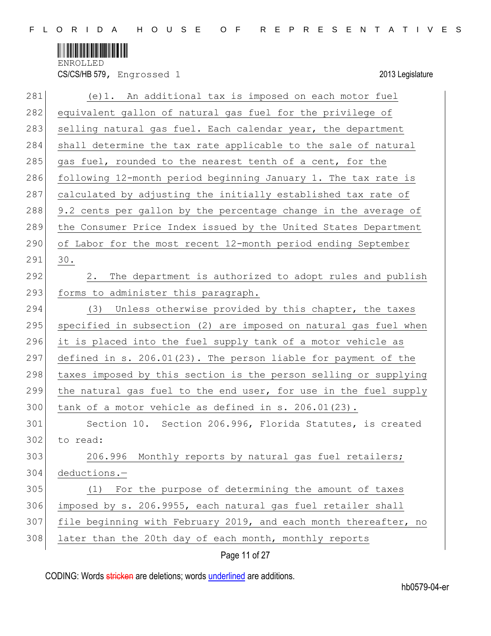

CS/CS/HB 579, Engrossed 1 2013 Legislature

| 281 | (e)1. An additional tax is imposed on each motor fuel            |
|-----|------------------------------------------------------------------|
| 282 | equivalent gallon of natural gas fuel for the privilege of       |
| 283 | selling natural gas fuel. Each calendar year, the department     |
| 284 | shall determine the tax rate applicable to the sale of natural   |
| 285 | gas fuel, rounded to the nearest tenth of a cent, for the        |
| 286 | following 12-month period beginning January 1. The tax rate is   |
| 287 | calculated by adjusting the initially established tax rate of    |
| 288 | 9.2 cents per gallon by the percentage change in the average of  |
| 289 | the Consumer Price Index issued by the United States Department  |
| 290 | of Labor for the most recent 12-month period ending September    |
| 291 | 30.                                                              |
| 292 | The department is authorized to adopt rules and publish<br>2.    |
| 293 | forms to administer this paragraph.                              |
| 294 | Unless otherwise provided by this chapter, the taxes<br>(3)      |
| 295 | specified in subsection (2) are imposed on natural gas fuel when |
| 296 | it is placed into the fuel supply tank of a motor vehicle as     |
| 297 | defined in s. 206.01(23). The person liable for payment of the   |
| 298 | taxes imposed by this section is the person selling or supplying |
| 299 | the natural gas fuel to the end user, for use in the fuel supply |
| 300 | tank of a motor vehicle as defined in s. 206.01(23).             |
| 301 | Section 10. Section 206.996, Florida Statutes, is created        |
| 302 | to read:                                                         |
| 303 | 206.996 Monthly reports by natural gas fuel retailers;           |
| 304 | deductions.-                                                     |
| 305 | For the purpose of determining the amount of taxes<br>(1)        |
| 306 | imposed by s. 206.9955, each natural gas fuel retailer shall     |
| 307 | file beginning with February 2019, and each month thereafter, no |
| 308 | later than the 20th day of each month, monthly reports           |

Page 11 of 27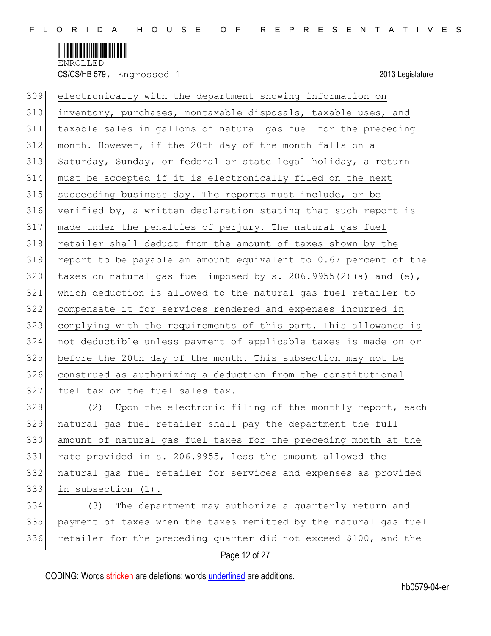

| 309 | electronically with the department showing information on          |
|-----|--------------------------------------------------------------------|
| 310 | inventory, purchases, nontaxable disposals, taxable uses, and      |
| 311 | taxable sales in gallons of natural gas fuel for the preceding     |
| 312 | month. However, if the 20th day of the month falls on a            |
| 313 | Saturday, Sunday, or federal or state legal holiday, a return      |
| 314 | must be accepted if it is electronically filed on the next         |
| 315 | succeeding business day. The reports must include, or be           |
| 316 | verified by, a written declaration stating that such report is     |
| 317 | made under the penalties of perjury. The natural gas fuel          |
| 318 | retailer shall deduct from the amount of taxes shown by the        |
| 319 | report to be payable an amount equivalent to 0.67 percent of the   |
| 320 | taxes on natural gas fuel imposed by $s. 206.9955(2)$ (a) and (e), |
| 321 | which deduction is allowed to the natural gas fuel retailer to     |
| 322 | compensate it for services rendered and expenses incurred in       |
| 323 | complying with the requirements of this part. This allowance is    |
| 324 | not deductible unless payment of applicable taxes is made on or    |
| 325 | before the 20th day of the month. This subsection may not be       |
| 326 | construed as authorizing a deduction from the constitutional       |
| 327 | fuel tax or the fuel sales tax.                                    |
| 328 | (2) Upon the electronic filing of the monthly report, each         |
| 329 | natural gas fuel retailer shall pay the department the full        |
| 330 | amount of natural gas fuel taxes for the preceding month at the    |
| 331 | rate provided in s. 206.9955, less the amount allowed the          |
| 332 | natural gas fuel retailer for services and expenses as provided    |
| 333 | in subsection (1).                                                 |
| 334 | The department may authorize a quarterly return and<br>(3)         |
| 335 | payment of taxes when the taxes remitted by the natural gas fuel   |
| 336 | retailer for the preceding quarter did not exceed \$100, and the   |
|     |                                                                    |

## Page 12 of 27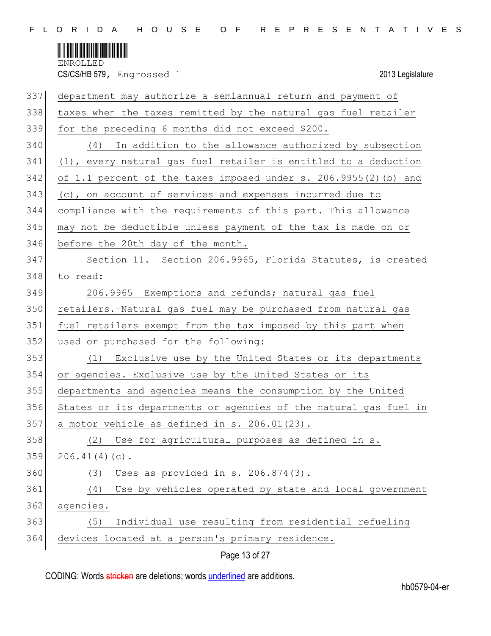

CS/CS/HB 579, Engrossed 1 2013 Legislature

| 337 | department may authorize a semiannual return and payment of      |
|-----|------------------------------------------------------------------|
| 338 | taxes when the taxes remitted by the natural gas fuel retailer   |
| 339 | for the preceding 6 months did not exceed \$200.                 |
| 340 | (4) In addition to the allowance authorized by subsection        |
| 341 | (1), every natural gas fuel retailer is entitled to a deduction  |
| 342 | of 1.1 percent of the taxes imposed under s. 206.9955(2) (b) and |
| 343 | (c), on account of services and expenses incurred due to         |
| 344 | compliance with the requirements of this part. This allowance    |
| 345 | may not be deductible unless payment of the tax is made on or    |
| 346 | before the 20th day of the month.                                |
| 347 | Section 11. Section 206.9965, Florida Statutes, is created       |
| 348 | to read:                                                         |
| 349 | 206.9965 Exemptions and refunds; natural gas fuel                |
| 350 | retailers.-Natural gas fuel may be purchased from natural gas    |
| 351 | fuel retailers exempt from the tax imposed by this part when     |
| 352 | used or purchased for the following:                             |
| 353 | (1) Exclusive use by the United States or its departments        |
| 354 | or agencies. Exclusive use by the United States or its           |
| 355 | departments and agencies means the consumption by the United     |
| 356 | States or its departments or agencies of the natural gas fuel in |
| 357 | a motor vehicle as defined in s. 206.01(23).                     |
| 358 | (2) Use for agricultural purposes as defined in s.               |
| 359 | $206.41(4)(c)$ .                                                 |
| 360 | Uses as provided in s. 206.874(3).<br>(3)                        |
| 361 | Use by vehicles operated by state and local government<br>(4)    |
| 362 | agencies.                                                        |
| 363 | Individual use resulting from residential refueling<br>(5)       |
| 364 | devices located at a person's primary residence.                 |
|     |                                                                  |

Page 13 of 27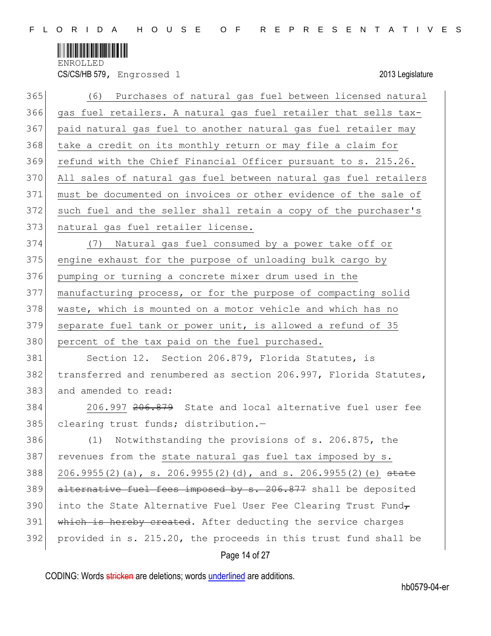

CS/CS/HB 579, Engrossed 1 2013 Legislature

| 365 | (6) Purchases of natural gas fuel between licensed natural       |
|-----|------------------------------------------------------------------|
| 366 | gas fuel retailers. A natural gas fuel retailer that sells tax-  |
| 367 | paid natural gas fuel to another natural gas fuel retailer may   |
| 368 | take a credit on its monthly return or may file a claim for      |
| 369 | refund with the Chief Financial Officer pursuant to s. 215.26.   |
| 370 | All sales of natural gas fuel between natural gas fuel retailers |
| 371 | must be documented on invoices or other evidence of the sale of  |
| 372 | such fuel and the seller shall retain a copy of the purchaser's  |
| 373 | natural gas fuel retailer license.                               |
| 374 | Natural gas fuel consumed by a power take off or<br>(7)          |
| 375 | engine exhaust for the purpose of unloading bulk cargo by        |
| 376 | pumping or turning a concrete mixer drum used in the             |
| 377 | manufacturing process, or for the purpose of compacting solid    |
| 378 | waste, which is mounted on a motor vehicle and which has no      |
| 379 | separate fuel tank or power unit, is allowed a refund of 35      |
| 380 | percent of the tax paid on the fuel purchased.                   |
| 381 | Section 12. Section 206.879, Florida Statutes, is                |
| 382 | transferred and renumbered as section 206.997, Florida Statutes, |
| 383 | and amended to read:                                             |
| 384 | 206.997 206.879 State and local alternative fuel user fee        |
| 385 | clearing trust funds; distribution.-                             |
| 386 | (1) Notwithstanding the provisions of s. 206.875, the            |
| 387 | revenues from the state natural gas fuel tax imposed by s.       |
| 388 | 206.9955(2)(a), s. 206.9955(2)(d), and s. 206.9955(2)(e) state   |
| 389 | alternative fuel fees imposed by s. 206.877 shall be deposited   |
| 390 | into the State Alternative Fuel User Fee Clearing Trust Fund,    |
| 391 | which is hereby created. After deducting the service charges     |
| 392 | provided in s. 215.20, the proceeds in this trust fund shall be  |
|     | Page 14 of 27                                                    |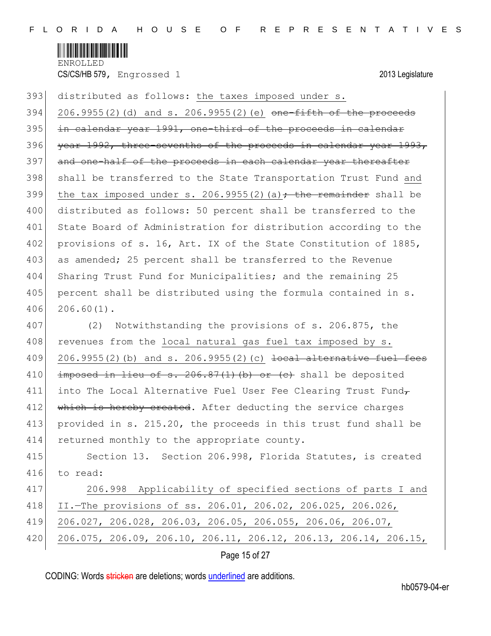

 $394$  206.9955(2)(d) and s. 206.9955(2)(e) <del>one-fifth of the proceeds</del> 395 in calendar year 1991, one-third of the proceeds in calendar 396 year 1992, three-sevenths of the proceeds in calendar year 1993, 397 and one-half of the proceeds in each calendar year thereafter 398 shall be transferred to the State Transportation Trust Fund and 399 the tax imposed under s. 206.9955(2)(a)<del>; the remainder</del> shall be 400 distributed as follows: 50 percent shall be transferred to the 401 State Board of Administration for distribution according to the 402 provisions of s. 16, Art. IX of the State Constitution of 1885, 403 as amended; 25 percent shall be transferred to the Revenue 404 Sharing Trust Fund for Municipalities; and the remaining 25 405 percent shall be distributed using the formula contained in s. 406 206.60(1).

393 distributed as follows: the taxes imposed under s.

407 (2) Notwithstanding the provisions of s. 206.875, the 408 revenues from the local natural gas fuel tax imposed by s. 409 206.9955(2)(b) and s. 206.9955(2)(c)  $\frac{1}{1}$  becal alternative fuel fees 410  $\mid$  imposed in lieu of s. 206.87(1)(b) or (c) shall be deposited 411 into The Local Alternative Fuel User Fee Clearing Trust Fund 412 which is hereby created. After deducting the service charges 413 provided in s. 215.20, the proceeds in this trust fund shall be 414 returned monthly to the appropriate county.

415 Section 13. Section 206.998, Florida Statutes, is created 416 to read:

 206.998 Applicability of specified sections of parts I and II.—The provisions of ss. 206.01, 206.02, 206.025, 206.026, 206.027, 206.028, 206.03, 206.05, 206.055, 206.06, 206.07, 206.075, 206.09, 206.10, 206.11, 206.12, 206.13, 206.14, 206.15,

### Page 15 of 27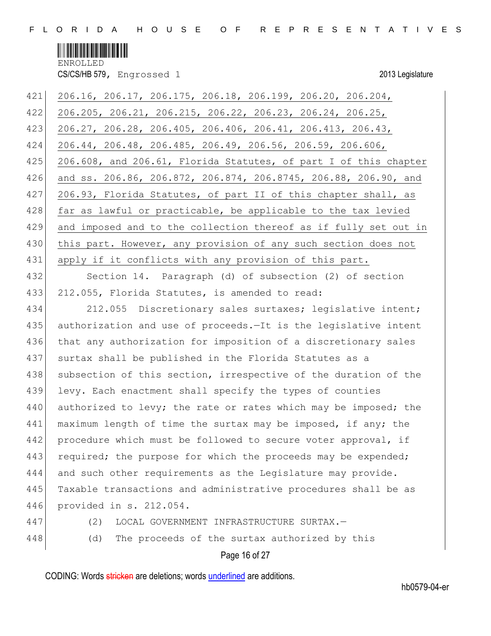

CS/CS/HB 579, Engrossed 1 2013 Legislature

| 421 | 206.16, 206.17, 206.175, 206.18, 206.199, 206.20, 206.204,                      |
|-----|---------------------------------------------------------------------------------|
| 422 | 206.205, 206.21, 206.215, 206.22, 206.23, 206.24, 206.25,                       |
| 423 | $206.27$ , $206.28$ , $206.405$ , $206.406$ , $206.41$ , $206.413$ , $206.43$ , |
| 424 | 206.44, 206.48, 206.485, 206.49, 206.56, 206.59, 206.606,                       |
| 425 | 206.608, and 206.61, Florida Statutes, of part I of this chapter                |
| 426 | and ss. 206.86, 206.872, 206.874, 206.8745, 206.88, 206.90, and                 |
| 427 | 206.93, Florida Statutes, of part II of this chapter shall, as                  |
| 428 | far as lawful or practicable, be applicable to the tax levied                   |
| 429 | and imposed and to the collection thereof as if fully set out in                |
| 430 | this part. However, any provision of any such section does not                  |
| 431 | apply if it conflicts with any provision of this part.                          |
| 432 | Section 14. Paragraph (d) of subsection (2) of section                          |
| 433 | 212.055, Florida Statutes, is amended to read:                                  |
| 434 | 212.055 Discretionary sales surtaxes; legislative intent;                       |
| 435 | authorization and use of proceeds.-It is the legislative intent                 |
| 436 | that any authorization for imposition of a discretionary sales                  |
| 437 | surtax shall be published in the Florida Statutes as a                          |
| 438 | subsection of this section, irrespective of the duration of the                 |
| 439 | levy. Each enactment shall specify the types of counties                        |
| 440 | authorized to levy; the rate or rates which may be imposed; the                 |
| 441 | maximum length of time the surtax may be imposed, if any; the                   |
| 442 | procedure which must be followed to secure voter approval, if                   |
| 443 | required; the purpose for which the proceeds may be expended;                   |
| 444 | and such other requirements as the Legislature may provide.                     |
| 445 | Taxable transactions and administrative procedures shall be as                  |
| 446 | provided in s. 212.054.                                                         |
| 447 | (2)<br>LOCAL GOVERNMENT INFRASTRUCTURE SURTAX.-                                 |
| 448 | The proceeds of the surtax authorized by this<br>(d)                            |

# Page 16 of 27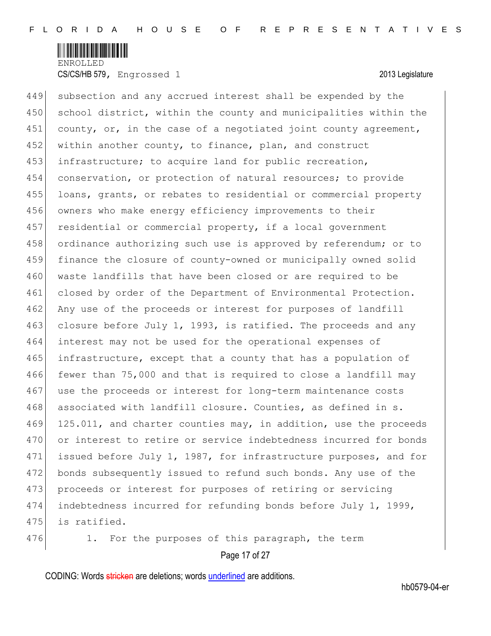

449 subsection and any accrued interest shall be expended by the 450 school district, within the county and municipalities within the 451 county, or, in the case of a negotiated joint county agreement, 452 within another county, to finance, plan, and construct 453 infrastructure; to acquire land for public recreation, 454 conservation, or protection of natural resources; to provide 455 loans, grants, or rebates to residential or commercial property 456 owners who make energy efficiency improvements to their 457 residential or commercial property, if a local government 458 ordinance authorizing such use is approved by referendum; or to 459 finance the closure of county-owned or municipally owned solid 460 waste landfills that have been closed or are required to be 461 closed by order of the Department of Environmental Protection. 462 Any use of the proceeds or interest for purposes of landfill 463 closure before July 1, 1993, is ratified. The proceeds and any 464 interest may not be used for the operational expenses of 465 infrastructure, except that a county that has a population of 466 fewer than 75,000 and that is required to close a landfill may 467 use the proceeds or interest for long-term maintenance costs 468 associated with landfill closure. Counties, as defined in s. 469 125.011, and charter counties may, in addition, use the proceeds 470 or interest to retire or service indebtedness incurred for bonds 471 issued before July 1, 1987, for infrastructure purposes, and for 472 bonds subsequently issued to refund such bonds. Any use of the 473 proceeds or interest for purposes of retiring or servicing 474 indebtedness incurred for refunding bonds before July 1, 1999, 475 is ratified.



Page 17 of 27 476 1. For the purposes of this paragraph, the term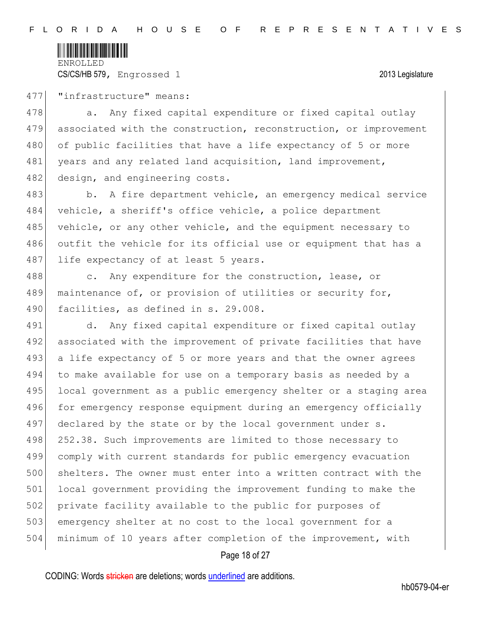

477 | "infrastructure" means:

478 a. Any fixed capital expenditure or fixed capital outlay 479 associated with the construction, reconstruction, or improvement 480 of public facilities that have a life expectancy of 5 or more 481 years and any related land acquisition, land improvement, 482 design, and engineering costs.

483 b. A fire department vehicle, an emergency medical service 484 vehicle, a sheriff's office vehicle, a police department 485 vehicle, or any other vehicle, and the equipment necessary to 486 outfit the vehicle for its official use or equipment that has a 487 life expectancy of at least 5 years.

488 c. Any expenditure for the construction, lease, or 489 maintenance of, or provision of utilities or security for, 490 facilities, as defined in s. 29.008.

491 d. Any fixed capital expenditure or fixed capital outlay 492 associated with the improvement of private facilities that have 493 a life expectancy of 5 or more years and that the owner agrees 494 to make available for use on a temporary basis as needed by a 495 local government as a public emergency shelter or a staging area 496 for emergency response equipment during an emergency officially 497 declared by the state or by the local government under s. 498 252.38. Such improvements are limited to those necessary to 499 comply with current standards for public emergency evacuation 500 shelters. The owner must enter into a written contract with the 501 local government providing the improvement funding to make the 502 private facility available to the public for purposes of 503 emergency shelter at no cost to the local government for a 504 minimum of 10 years after completion of the improvement, with

### Page 18 of 27

CODING: Words stricken are deletions; words underlined are additions.

hb0579-04-er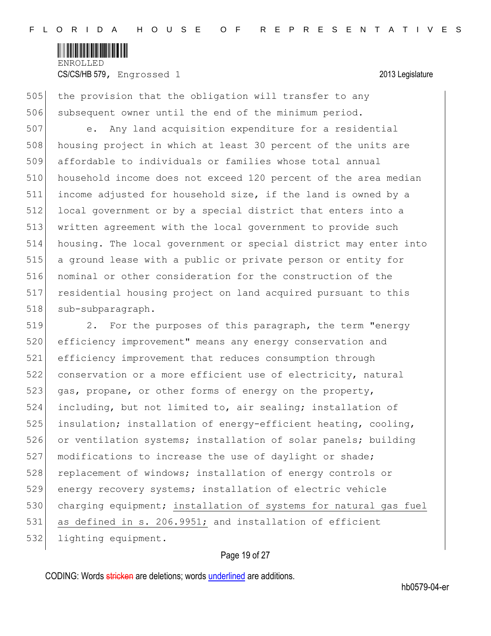

505 the provision that the obligation will transfer to any 506 subsequent owner until the end of the minimum period.

 e. Any land acquisition expenditure for a residential 508 housing project in which at least 30 percent of the units are affordable to individuals or families whose total annual household income does not exceed 120 percent of the area median income adjusted for household size, if the land is owned by a local government or by a special district that enters into a written agreement with the local government to provide such housing. The local government or special district may enter into a ground lease with a public or private person or entity for nominal or other consideration for the construction of the residential housing project on land acquired pursuant to this 518 sub-subparagraph.

519 2. For the purposes of this paragraph, the term "energy 520 efficiency improvement" means any energy conservation and 521 efficiency improvement that reduces consumption through 522 conservation or a more efficient use of electricity, natural 523 gas, propane, or other forms of energy on the property, 524 including, but not limited to, air sealing; installation of 525 insulation; installation of energy-efficient heating, cooling, 526 or ventilation systems; installation of solar panels; building 527 modifications to increase the use of daylight or shade; 528 replacement of windows; installation of energy controls or 529 energy recovery systems; installation of electric vehicle 530 charging equipment; installation of systems for natural gas fuel 531 as defined in s. 206.9951; and installation of efficient 532 lighting equipment.

### Page 19 of 27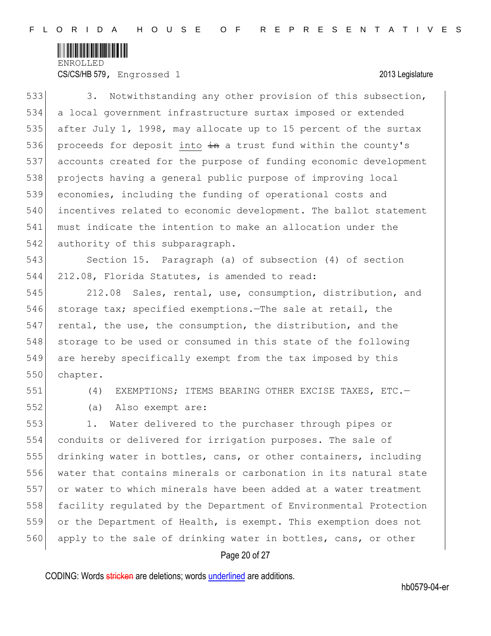

CS/CS/HB 579, Engrossed 1 2013 Legislature

533 3. Notwithstanding any other provision of this subsection, a local government infrastructure surtax imposed or extended after July 1, 1998, may allocate up to 15 percent of the surtax 536 proceeds for deposit into  $\frac{1}{2}$  a trust fund within the county's accounts created for the purpose of funding economic development projects having a general public purpose of improving local economies, including the funding of operational costs and incentives related to economic development. The ballot statement must indicate the intention to make an allocation under the 542 authority of this subparagraph.

543 Section 15. Paragraph (a) of subsection (4) of section 544 212.08, Florida Statutes, is amended to read:

545 212.08 Sales, rental, use, consumption, distribution, and 546 storage tax; specified exemptions.—The sale at retail, the 547 rental, the use, the consumption, the distribution, and the 548 storage to be used or consumed in this state of the following 549 are hereby specifically exempt from the tax imposed by this 550 chapter.

551 (4) EXEMPTIONS; ITEMS BEARING OTHER EXCISE TAXES, ETC.—

552 (a) Also exempt are:

 1. Water delivered to the purchaser through pipes or conduits or delivered for irrigation purposes. The sale of 555 drinking water in bottles, cans, or other containers, including water that contains minerals or carbonation in its natural state or water to which minerals have been added at a water treatment facility regulated by the Department of Environmental Protection or the Department of Health, is exempt. This exemption does not 560 apply to the sale of drinking water in bottles, cans, or other

### Page 20 of 27

CODING: Words stricken are deletions; words underlined are additions.

hb0579-04-er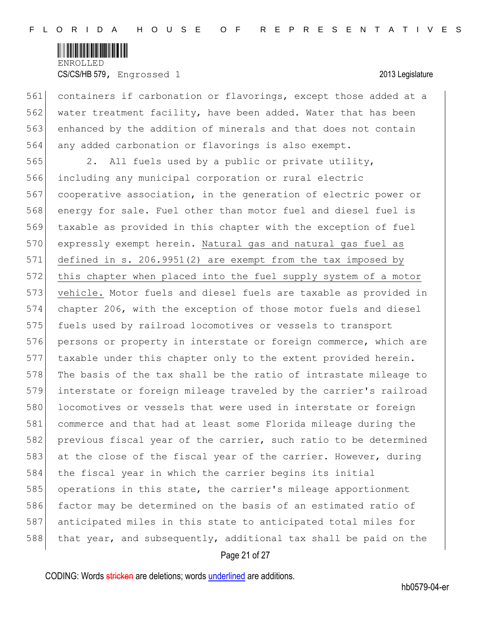

 containers if carbonation or flavorings, except those added at a water treatment facility, have been added. Water that has been enhanced by the addition of minerals and that does not contain 564 any added carbonation or flavorings is also exempt.

565 2. All fuels used by a public or private utility, 566 including any municipal corporation or rural electric 567 cooperative association, in the generation of electric power or 568 energy for sale. Fuel other than motor fuel and diesel fuel is 569 taxable as provided in this chapter with the exception of fuel 570 expressly exempt herein. Natural gas and natural gas fuel as 571 defined in s. 206.9951(2) are exempt from the tax imposed by 572 this chapter when placed into the fuel supply system of a motor 573 vehicle. Motor fuels and diesel fuels are taxable as provided in 574 chapter 206, with the exception of those motor fuels and diesel 575 fuels used by railroad locomotives or vessels to transport 576 persons or property in interstate or foreign commerce, which are 577 taxable under this chapter only to the extent provided herein. 578 The basis of the tax shall be the ratio of intrastate mileage to 579 interstate or foreign mileage traveled by the carrier's railroad 580 locomotives or vessels that were used in interstate or foreign 581 commerce and that had at least some Florida mileage during the 582 previous fiscal year of the carrier, such ratio to be determined 583 at the close of the fiscal year of the carrier. However, during 584 the fiscal year in which the carrier begins its initial 585 operations in this state, the carrier's mileage apportionment 586 factor may be determined on the basis of an estimated ratio of 587 anticipated miles in this state to anticipated total miles for 588 that year, and subsequently, additional tax shall be paid on the

### Page 21 of 27

CODING: Words stricken are deletions; words underlined are additions.

hb0579-04-er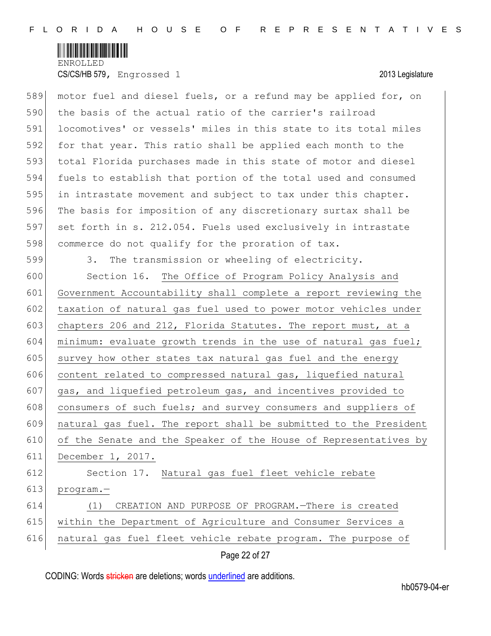

| 589 | motor fuel and diesel fuels, or a refund may be applied for, on  |
|-----|------------------------------------------------------------------|
| 590 | the basis of the actual ratio of the carrier's railroad          |
| 591 | locomotives' or vessels' miles in this state to its total miles  |
| 592 | for that year. This ratio shall be applied each month to the     |
| 593 | total Florida purchases made in this state of motor and diesel   |
| 594 | fuels to establish that portion of the total used and consumed   |
| 595 | in intrastate movement and subject to tax under this chapter.    |
| 596 | The basis for imposition of any discretionary surtax shall be    |
| 597 | set forth in s. 212.054. Fuels used exclusively in intrastate    |
| 598 | commerce do not qualify for the proration of tax.                |
| 599 | The transmission or wheeling of electricity.<br>3.               |
| 600 | Section 16. The Office of Program Policy Analysis and            |
| 601 | Government Accountability shall complete a report reviewing the  |
| 602 | taxation of natural gas fuel used to power motor vehicles under  |
| 603 | chapters 206 and 212, Florida Statutes. The report must, at a    |
| 604 | minimum: evaluate growth trends in the use of natural gas fuel;  |
| 605 | survey how other states tax natural gas fuel and the energy      |
| 606 | content related to compressed natural gas, liquefied natural     |
| 607 | gas, and liquefied petroleum gas, and incentives provided to     |
| 608 | consumers of such fuels; and survey consumers and suppliers of   |
| 609 | natural gas fuel. The report shall be submitted to the President |
| 610 | of the Senate and the Speaker of the House of Representatives by |
| 611 | December 1, 2017.                                                |
| 612 | Natural gas fuel fleet vehicle rebate<br>Section 17.             |
| 613 | program.-                                                        |
| 614 | CREATION AND PURPOSE OF PROGRAM. - There is created<br>(1)       |
| 615 | within the Department of Agriculture and Consumer Services a     |
| 616 | natural gas fuel fleet vehicle rebate program. The purpose of    |
|     | Page 22 of 27                                                    |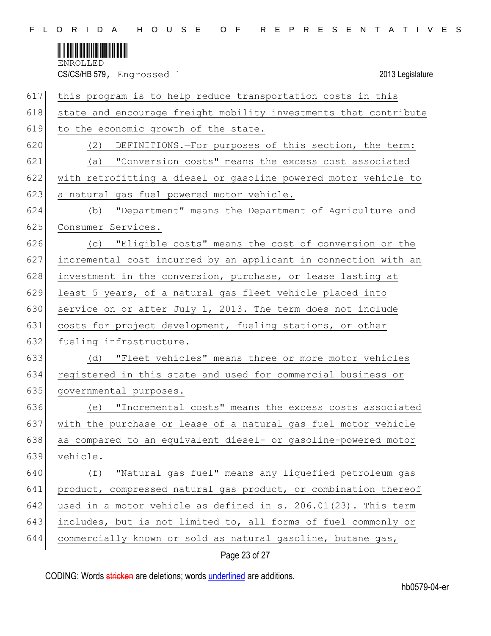

CS/CS/HB 579, Engrossed 1 2013 Legislature

| 617 | this program is to help reduce transportation costs in this      |
|-----|------------------------------------------------------------------|
| 618 | state and encourage freight mobility investments that contribute |
| 619 | to the economic growth of the state.                             |
| 620 | DEFINITIONS.-For purposes of this section, the term:<br>(2)      |
| 621 | (a) "Conversion costs" means the excess cost associated          |
| 622 | with retrofitting a diesel or gasoline powered motor vehicle to  |
| 623 | a natural gas fuel powered motor vehicle.                        |
| 624 | "Department" means the Department of Agriculture and<br>(b)      |
| 625 | Consumer Services.                                               |
| 626 | (c) "Eligible costs" means the cost of conversion or the         |
| 627 | incremental cost incurred by an applicant in connection with an  |
| 628 | investment in the conversion, purchase, or lease lasting at      |
| 629 | least 5 years, of a natural gas fleet vehicle placed into        |
| 630 | service on or after July 1, 2013. The term does not include      |
| 631 | costs for project development, fueling stations, or other        |
| 632 | fueling infrastructure.                                          |
| 633 | (d) "Fleet vehicles" means three or more motor vehicles          |
| 634 | registered in this state and used for commercial business or     |
| 635 | governmental purposes.                                           |
| 636 | "Incremental costs" means the excess costs associated<br>(e)     |
| 637 | with the purchase or lease of a natural gas fuel motor vehicle   |
| 638 | as compared to an equivalent diesel- or gasoline-powered motor   |
| 639 | vehicle.                                                         |
| 640 | "Natural gas fuel" means any liquefied petroleum gas<br>(f)      |
| 641 | product, compressed natural gas product, or combination thereof  |
| 642 | used in a motor vehicle as defined in s. 206.01(23). This term   |
| 643 | includes, but is not limited to, all forms of fuel commonly or   |
| 644 | commercially known or sold as natural gasoline, butane gas,      |

# Page 23 of 27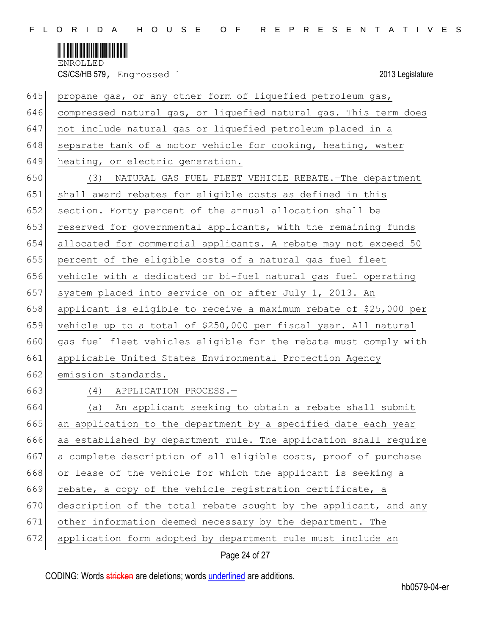

| 645 | propane gas, or any other form of liquefied petroleum gas,        |
|-----|-------------------------------------------------------------------|
| 646 | compressed natural gas, or liquefied natural gas. This term does  |
| 647 | not include natural gas or liquefied petroleum placed in a        |
| 648 | separate tank of a motor vehicle for cooking, heating, water      |
| 649 | heating, or electric generation.                                  |
| 650 | NATURAL GAS FUEL FLEET VEHICLE REBATE. - The department<br>(3)    |
| 651 | shall award rebates for eligible costs as defined in this         |
| 652 | section. Forty percent of the annual allocation shall be          |
| 653 | reserved for governmental applicants, with the remaining funds    |
| 654 | allocated for commercial applicants. A rebate may not exceed 50   |
| 655 | percent of the eligible costs of a natural gas fuel fleet         |
| 656 | vehicle with a dedicated or bi-fuel natural gas fuel operating    |
| 657 | system placed into service on or after July 1, 2013. An           |
| 658 | applicant is eligible to receive a maximum rebate of \$25,000 per |
| 659 | vehicle up to a total of \$250,000 per fiscal year. All natural   |
| 660 | gas fuel fleet vehicles eligible for the rebate must comply with  |
| 661 | applicable United States Environmental Protection Agency          |
| 662 | emission standards.                                               |
| 663 | (4)<br>APPLICATION PROCESS.-                                      |
| 664 | (a) An applicant seeking to obtain a rebate shall submit          |
| 665 | an application to the department by a specified date each year    |
| 666 | as established by department rule. The application shall require  |
| 667 | a complete description of all eligible costs, proof of purchase   |
| 668 | or lease of the vehicle for which the applicant is seeking a      |
| 669 | rebate, a copy of the vehicle registration certificate, a         |
| 670 | description of the total rebate sought by the applicant, and any  |
| 671 | other information deemed necessary by the department. The         |
| 672 | application form adopted by department rule must include an       |
|     |                                                                   |

Page 24 of 27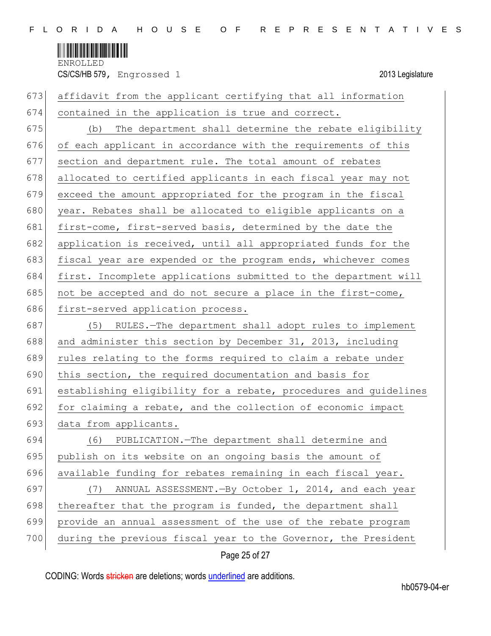

CS/CS/HB 579, Engrossed 1 2013 Legislature

| 673 | affidavit from the applicant certifying that all information     |
|-----|------------------------------------------------------------------|
| 674 | contained in the application is true and correct.                |
| 675 | The department shall determine the rebate eligibility<br>(b)     |
| 676 | of each applicant in accordance with the requirements of this    |
| 677 | section and department rule. The total amount of rebates         |
| 678 | allocated to certified applicants in each fiscal year may not    |
| 679 | exceed the amount appropriated for the program in the fiscal     |
| 680 | year. Rebates shall be allocated to eligible applicants on a     |
| 681 | first-come, first-served basis, determined by the date the       |
| 682 | application is received, until all appropriated funds for the    |
| 683 | fiscal year are expended or the program ends, whichever comes    |
| 684 | first. Incomplete applications submitted to the department will  |
| 685 | not be accepted and do not secure a place in the first-come,     |
| 686 | first-served application process.                                |
| 687 | (5) RULES.-The department shall adopt rules to implement         |
| 688 | and administer this section by December 31, 2013, including      |
| 689 | rules relating to the forms required to claim a rebate under     |
| 690 | this section, the required documentation and basis for           |
| 691 | establishing eligibility for a rebate, procedures and guidelines |
| 692 | for claiming a rebate, and the collection of economic impact     |
| 693 | data from applicants.                                            |
| 694 | (6) PUBLICATION. - The department shall determine and            |
| 695 | publish on its website on an ongoing basis the amount of         |
| 696 | available funding for rebates remaining in each fiscal year.     |
| 697 | ANNUAL ASSESSMENT. - By October 1, 2014, and each year<br>(7)    |
| 698 | thereafter that the program is funded, the department shall      |
| 699 | provide an annual assessment of the use of the rebate program    |
| 700 | during the previous fiscal year to the Governor, the President   |

## Page 25 of 27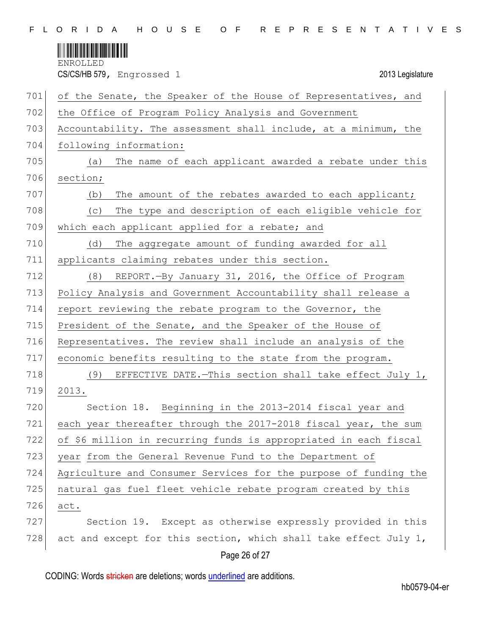

CS/CS/HB 579, Engrossed 1 2013 Legislature

| 701 | of the Senate, the Speaker of the House of Representatives, and  |
|-----|------------------------------------------------------------------|
| 702 | the Office of Program Policy Analysis and Government             |
| 703 | Accountability. The assessment shall include, at a minimum, the  |
| 704 | following information:                                           |
| 705 | The name of each applicant awarded a rebate under this<br>(a)    |
| 706 | section;                                                         |
| 707 | The amount of the rebates awarded to each applicant;<br>(b)      |
| 708 | The type and description of each eligible vehicle for<br>(C)     |
| 709 | which each applicant applied for a rebate; and                   |
| 710 | The aggregate amount of funding awarded for all<br>(d)           |
| 711 | applicants claiming rebates under this section.                  |
| 712 | REPORT.-By January 31, 2016, the Office of Program<br>(8)        |
| 713 | Policy Analysis and Government Accountability shall release a    |
| 714 | report reviewing the rebate program to the Governor, the         |
| 715 | President of the Senate, and the Speaker of the House of         |
| 716 | Representatives. The review shall include an analysis of the     |
| 717 | economic benefits resulting to the state from the program.       |
| 718 | (9) EFFECTIVE DATE. - This section shall take effect July 1,     |
| 719 | 2013.                                                            |
| 720 | Section 18. Beginning in the 2013-2014 fiscal year and           |
| 721 | each year thereafter through the 2017-2018 fiscal year, the sum  |
| 722 | of \$6 million in recurring funds is appropriated in each fiscal |
| 723 | year from the General Revenue Fund to the Department of          |
| 724 | Agriculture and Consumer Services for the purpose of funding the |
| 725 | natural gas fuel fleet vehicle rebate program created by this    |
| 726 | act.                                                             |
| 727 | Section 19. Except as otherwise expressly provided in this       |
| 728 | act and except for this section, which shall take effect July 1, |
|     | Page 26 of 27                                                    |